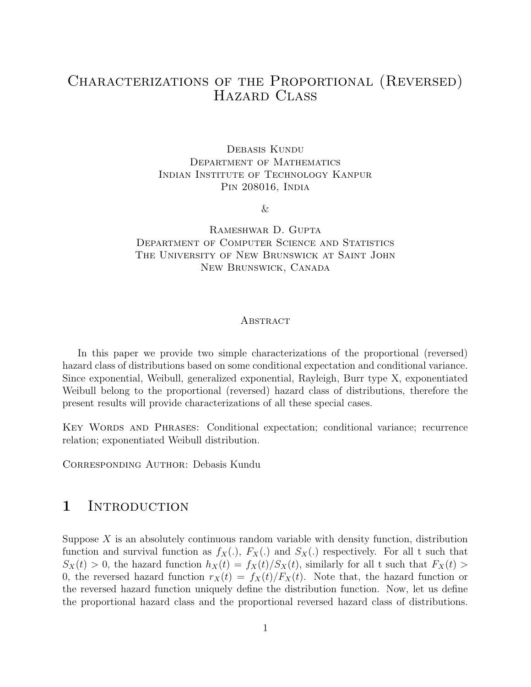# Characterizations of the Proportional (Reversed) Hazard Class

Debasis Kundu Department of Mathematics Indian Institute of Technology Kanpur Pin 208016, India

 $\&$ 

Rameshwar D. Gupta Department of Computer Science and Statistics The University of New Brunswick at Saint John New Brunswick, Canada

#### **ABSTRACT**

In this paper we provide two simple characterizations of the proportional (reversed) hazard class of distributions based on some conditional expectation and conditional variance. Since exponential, Weibull, generalized exponential, Rayleigh, Burr type X, exponentiated Weibull belong to the proportional (reversed) hazard class of distributions, therefore the present results will provide characterizations of all these special cases.

KEY WORDS AND PHRASES: Conditional expectation; conditional variance; recurrence relation; exponentiated Weibull distribution.

CORRESPONDING AUTHOR: Debasis Kundu

## 1 INTRODUCTION

Suppose  $X$  is an absolutely continuous random variable with density function, distribution function and survival function as  $f_X(.)$ ,  $F_X(.)$  and  $S_X(.)$  respectively. For all t such that  $S_X(t) > 0$ , the hazard function  $h_X(t) = f_X(t)/S_X(t)$ , similarly for all t such that  $F_X(t) > 0$ 0, the reversed hazard function  $r_X(t) = f_X(t)/F_X(t)$ . Note that, the hazard function or the reversed hazard function uniquely define the distribution function. Now, let us define the proportional hazard class and the proportional reversed hazard class of distributions.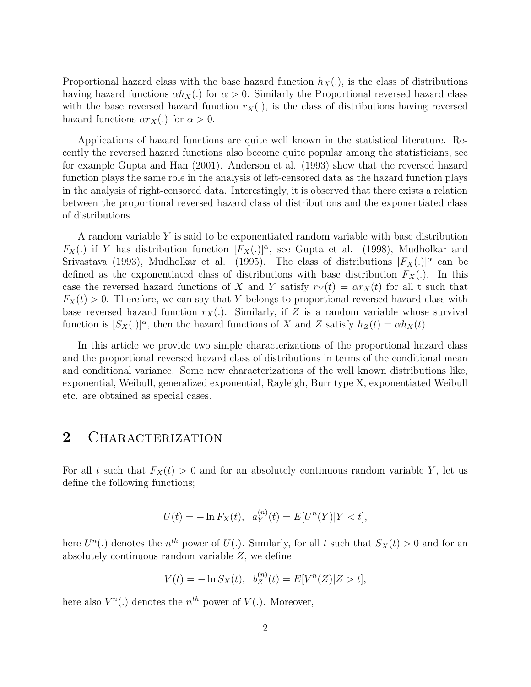Proportional hazard class with the base hazard function  $h_X(.)$ , is the class of distributions having hazard functions  $\alpha h_X(.)$  for  $\alpha > 0$ . Similarly the Proportional reversed hazard class with the base reversed hazard function  $r_X(.)$ , is the class of distributions having reversed hazard functions  $\alpha r_X(.)$  for  $\alpha > 0$ .

Applications of hazard functions are quite well known in the statistical literature. Recently the reversed hazard functions also become quite popular among the statisticians, see for example Gupta and Han (2001). Anderson et al. (1993) show that the reversed hazard function plays the same role in the analysis of left-censored data as the hazard function plays in the analysis of right-censored data. Interestingly, it is observed that there exists a relation between the proportional reversed hazard class of distributions and the exponentiated class of distributions.

A random variable Y is said to be exponentiated random variable with base distribution  $F_X(.)$  if Y has distribution function  $[F_X(.)]^{\alpha}$ , see Gupta et al. (1998), Mudholkar and Srivastava (1993), Mudholkar et al. (1995). The class of distributions  $[F_X(.)]^{\alpha}$  can be defined as the exponentiated class of distributions with base distribution  $F_X(.)$ . In this case the reversed hazard functions of X and Y satisfy  $r_Y(t) = \alpha r_X(t)$  for all t such that  $F_X(t) > 0$ . Therefore, we can say that Y belongs to proportional reversed hazard class with base reversed hazard function  $r_X(.)$ . Similarly, if Z is a random variable whose survival function is  $[S_X(.)]^\alpha$ , then the hazard functions of X and Z satisfy  $h_Z(t) = \alpha h_X(t)$ .

In this article we provide two simple characterizations of the proportional hazard class and the proportional reversed hazard class of distributions in terms of the conditional mean and conditional variance. Some new characterizations of the well known distributions like, exponential, Weibull, generalized exponential, Rayleigh, Burr type X, exponentiated Weibull etc. are obtained as special cases.

## 2 CHARACTERIZATION

For all t such that  $F_X(t) > 0$  and for an absolutely continuous random variable Y, let us define the following functions;

$$
U(t) = -\ln F_X(t), \ \ a_Y^{(n)}(t) = E[U^n(Y)|Y < t],
$$

here  $U^{n}(.)$  denotes the  $n^{th}$  power of  $U(.)$ . Similarly, for all t such that  $S_{X}(t) > 0$  and for an absolutely continuous random variable  $Z$ , we define

$$
V(t) = -\ln S_X(t), \ \ b_Z^{(n)}(t) = E[V^n(Z)|Z > t],
$$

here also  $V^n(.)$  denotes the  $n^{th}$  power of  $V(.)$ . Moreover,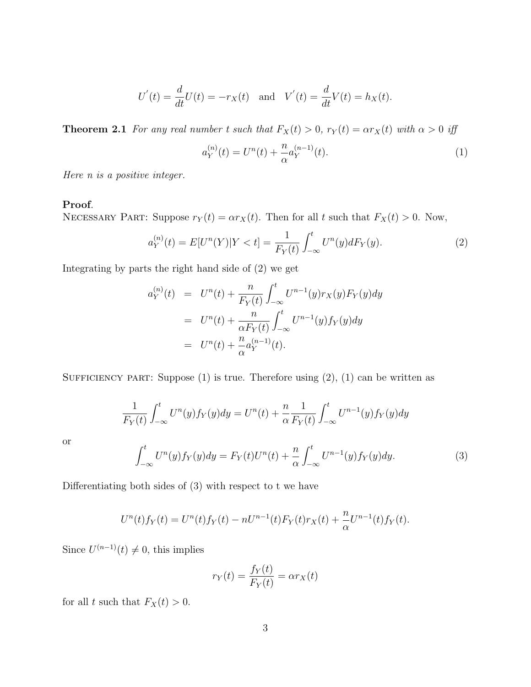$$
U'(t) = \frac{d}{dt}U(t) = -r_X(t)
$$
 and  $V'(t) = \frac{d}{dt}V(t) = h_X(t)$ .

**Theorem 2.1** For any real number t such that  $F_X(t) > 0$ ,  $r_Y(t) = \alpha r_X(t)$  with  $\alpha > 0$  iff

$$
a_Y^{(n)}(t) = U^n(t) + \frac{n}{\alpha} a_Y^{(n-1)}(t).
$$
\n(1)

Here n is a positive integer.

#### Proof.

NECESSARY PART: Suppose  $r_Y(t) = \alpha r_X(t)$ . Then for all t such that  $F_X(t) > 0$ . Now,

$$
a_Y^{(n)}(t) = E[U^n(Y)|Y < t] = \frac{1}{F_Y(t)} \int_{-\infty}^t U^n(y) dF_Y(y). \tag{2}
$$

Integrating by parts the right hand side of (2) we get

$$
a_Y^{(n)}(t) = U^n(t) + \frac{n}{F_Y(t)} \int_{-\infty}^t U^{n-1}(y) r_X(y) F_Y(y) dy
$$
  
= 
$$
U^n(t) + \frac{n}{\alpha F_Y(t)} \int_{-\infty}^t U^{n-1}(y) f_Y(y) dy
$$
  
= 
$$
U^n(t) + \frac{n}{\alpha} a_Y^{(n-1)}(t).
$$

SUFFICIENCY PART: Suppose  $(1)$  is true. Therefore using  $(2)$ ,  $(1)$  can be written as

$$
\frac{1}{F_Y(t)} \int_{-\infty}^t U^n(y) f_Y(y) dy = U^n(t) + \frac{n}{\alpha} \frac{1}{F_Y(t)} \int_{-\infty}^t U^{n-1}(y) f_Y(y) dy
$$

$$
\int_{-\infty}^t U^n(y) f_Y(y) dy = F_Y(t) U^n(t) + \frac{n}{\alpha} \int_{-\infty}^t U^{n-1}(y) f_Y(y) dy.
$$
(3)

or

Differentiating both sides of 
$$
(3)
$$
 with respect to t we have

$$
U^{n}(t)f_{Y}(t) = U^{n}(t)f_{Y}(t) - nU^{n-1}(t)f_{Y}(t)r_{X}(t) + \frac{n}{\alpha}U^{n-1}(t)f_{Y}(t).
$$

Since  $U^{(n-1)}(t) \neq 0$ , this implies

$$
r_Y(t) = \frac{f_Y(t)}{F_Y(t)} = \alpha r_X(t)
$$

for all t such that  $F_X(t) > 0$ .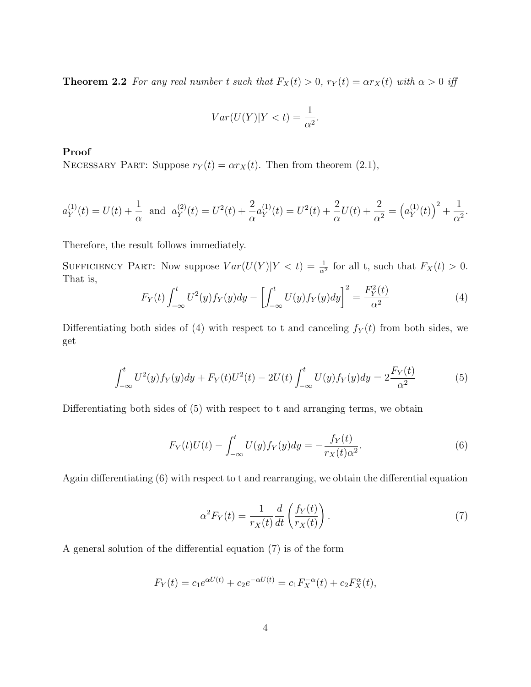**Theorem 2.2** For any real number t such that  $F_X(t) > 0$ ,  $r_Y(t) = \alpha r_X(t)$  with  $\alpha > 0$  iff

$$
Var(U(Y)|Y < t) = \frac{1}{\alpha^2}.
$$

### Proof

NECESSARY PART: Suppose  $r_Y(t) = \alpha r_X(t)$ . Then from theorem (2.1),

$$
a_Y^{(1)}(t) = U(t) + \frac{1}{\alpha} \text{ and } a_Y^{(2)}(t) = U^2(t) + \frac{2}{\alpha} a_Y^{(1)}(t) = U^2(t) + \frac{2}{\alpha} U(t) + \frac{2}{\alpha^2} = (a_Y^{(1)}(t))^2 + \frac{1}{\alpha^2}.
$$

Therefore, the result follows immediately.

SUFFICIENCY PART: Now suppose  $Var(U(Y)|Y < t) = \frac{1}{\alpha^2}$  for all t, such that  $F_X(t) > 0$ . That is,

$$
F_Y(t) \int_{-\infty}^t U^2(y) f_Y(y) dy - \left[ \int_{-\infty}^t U(y) f_Y(y) dy \right]^2 = \frac{F_Y^2(t)}{\alpha^2}
$$
 (4)

Differentiating both sides of (4) with respect to t and canceling  $f_Y(t)$  from both sides, we get

$$
\int_{-\infty}^{t} U^2(y) f_Y(y) dy + F_Y(t) U^2(t) - 2U(t) \int_{-\infty}^{t} U(y) f_Y(y) dy = 2 \frac{F_Y(t)}{\alpha^2}
$$
(5)

Differentiating both sides of (5) with respect to t and arranging terms, we obtain

$$
F_Y(t)U(t) - \int_{-\infty}^t U(y)f_Y(y)dy = -\frac{f_Y(t)}{r_X(t)\alpha^2}.
$$
 (6)

Again differentiating (6) with respect to t and rearranging, we obtain the differential equation

$$
\alpha^2 F_Y(t) = \frac{1}{r_X(t)} \frac{d}{dt} \left( \frac{f_Y(t)}{r_X(t)} \right). \tag{7}
$$

A general solution of the differential equation (7) is of the form

$$
F_Y(t) = c_1 e^{\alpha U(t)} + c_2 e^{-\alpha U(t)} = c_1 F_X^{-\alpha}(t) + c_2 F_X^{\alpha}(t),
$$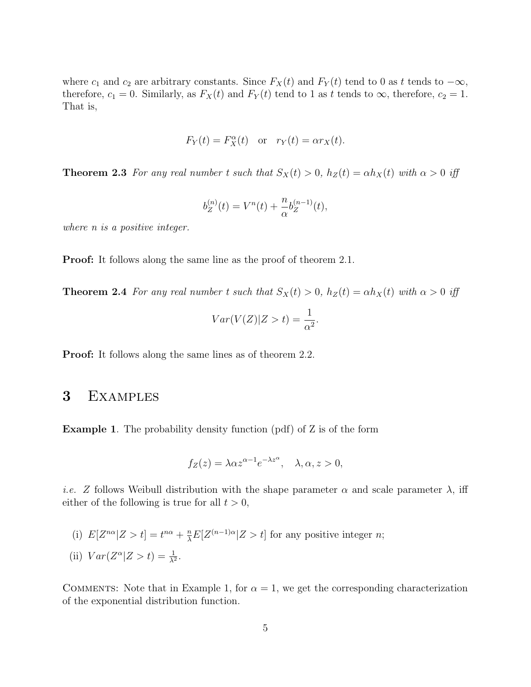where  $c_1$  and  $c_2$  are arbitrary constants. Since  $F_X(t)$  and  $F_Y(t)$  tend to 0 as t tends to  $-\infty$ , therefore,  $c_1 = 0$ . Similarly, as  $F_X(t)$  and  $F_Y(t)$  tend to 1 as t tends to  $\infty$ , therefore,  $c_2 = 1$ . That is,

$$
F_Y(t) = F_X^{\alpha}(t)
$$
 or  $r_Y(t) = \alpha r_X(t)$ .

**Theorem 2.3** For any real number t such that  $S_X(t) > 0$ ,  $h_Z(t) = \alpha h_X(t)$  with  $\alpha > 0$  iff

$$
b_Z^{(n)}(t) = V^n(t) + \frac{n}{\alpha} b_Z^{(n-1)}(t),
$$

where *n* is a positive integer.

**Proof:** It follows along the same line as the proof of theorem 2.1.

**Theorem 2.4** For any real number t such that  $S_X(t) > 0$ ,  $h_Z(t) = \alpha h_X(t)$  with  $\alpha > 0$  iff

$$
Var(V(Z)|Z>t) = \frac{1}{\alpha^2}.
$$

Proof: It follows along the same lines as of theorem 2.2.

### 3 Examples

Example 1. The probability density function (pdf) of Z is of the form

$$
f_Z(z) = \lambda \alpha z^{\alpha - 1} e^{-\lambda z^{\alpha}}, \quad \lambda, \alpha, z > 0,
$$

*i.e.* Z follows Weibull distribution with the shape parameter  $\alpha$  and scale parameter  $\lambda$ , iff either of the following is true for all  $t > 0$ ,

(i) 
$$
E[Z^{n\alpha}|Z > t] = t^{n\alpha} + \frac{n}{\lambda}E[Z^{(n-1)\alpha}|Z > t]
$$
 for any positive integer *n*;  
(ii)  $Var(Z^{\alpha}|Z > t) = \frac{1}{\lambda^2}$ .

COMMENTS: Note that in Example 1, for  $\alpha = 1$ , we get the corresponding characterization of the exponential distribution function.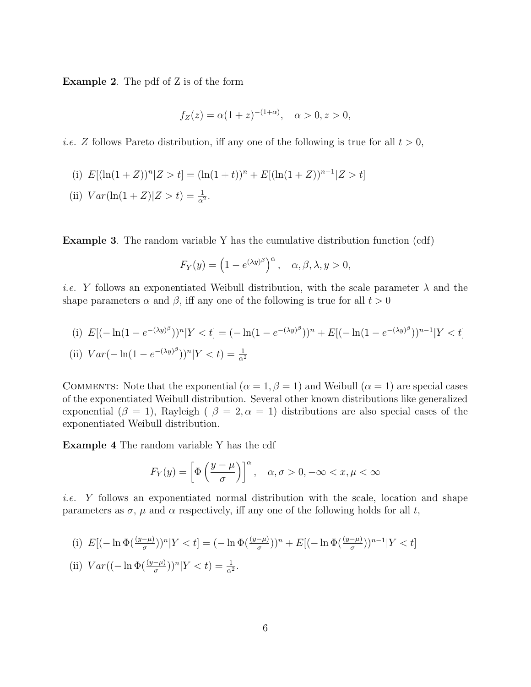Example 2. The pdf of Z is of the form

$$
f_Z(z) = \alpha (1+z)^{-(1+\alpha)}, \quad \alpha > 0, z > 0,
$$

*i.e.* Z follows Pareto distribution, iff any one of the following is true for all  $t > 0$ ,

- (i)  $E[(\ln(1+Z))^n | Z > t] = (\ln(1+t))^n + E[(\ln(1+Z))^{n-1} | Z > t]$
- (ii)  $Var(\ln(1+Z)|Z > t) = \frac{1}{\alpha^2}$ .

Example 3. The random variable Y has the cumulative distribution function (cdf)

$$
F_Y(y) = \left(1 - e^{(\lambda y)^\beta}\right)^\alpha, \quad \alpha, \beta, \lambda, y > 0,
$$

*i.e.* Y follows an exponentiated Weibull distribution, with the scale parameter  $\lambda$  and the shape parameters  $\alpha$  and  $\beta$ , iff any one of the following is true for all  $t > 0$ 

(i) 
$$
E[(-\ln(1 - e^{-(\lambda y)^\beta}))^n | Y < t] = (-\ln(1 - e^{-(\lambda y)^\beta}))^n + E[(-\ln(1 - e^{-(\lambda y)^\beta}))^{n-1} | Y < t]
$$
  
\n(ii)  $Var(-\ln(1 - e^{-(\lambda y)^\beta}))^n | Y < t) = \frac{1}{\alpha^2}$ 

COMMENTS: Note that the exponential  $(\alpha = 1, \beta = 1)$  and Weibull  $(\alpha = 1)$  are special cases of the exponentiated Weibull distribution. Several other known distributions like generalized exponential ( $\beta = 1$ ), Rayleigh ( $\beta = 2, \alpha = 1$ ) distributions are also special cases of the exponentiated Weibull distribution.

Example 4 The random variable Y has the cdf

$$
F_Y(y) = \left[\Phi\left(\frac{y-\mu}{\sigma}\right)\right]^\alpha, \quad \alpha, \sigma > 0, -\infty < x, \mu < \infty
$$

i.e. Y follows an exponentiated normal distribution with the scale, location and shape parameters as  $\sigma$ ,  $\mu$  and  $\alpha$  respectively, iff any one of the following holds for all t,

(i) 
$$
E[(-\ln \Phi(\frac{(y-\mu)}{\sigma}))^n | Y < t] = (-\ln \Phi(\frac{(y-\mu)}{\sigma}))^n + E[(-\ln \Phi(\frac{(y-\mu)}{\sigma}))^{n-1} | Y < t]
$$
  
(ii) 
$$
Var((-\ln \Phi(\frac{(y-\mu)}{\sigma}))^n | Y < t) = \frac{1}{\alpha^2}.
$$